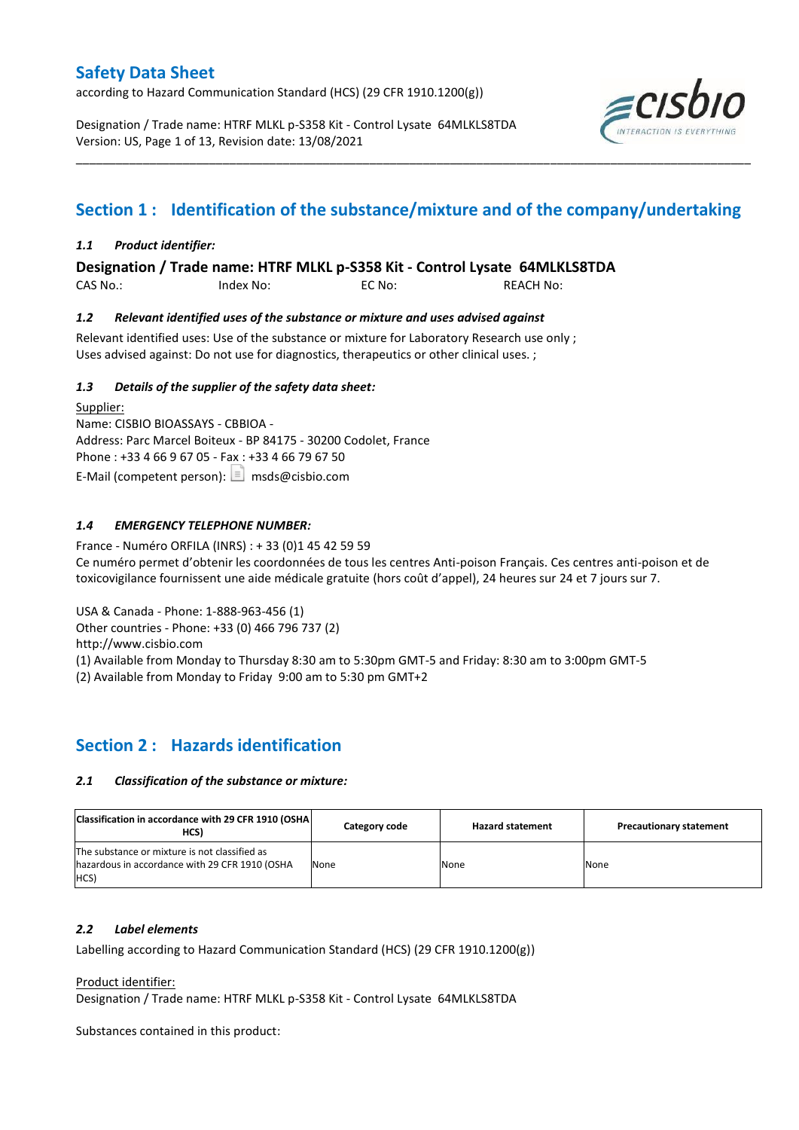according to Hazard Communication Standard (HCS) (29 CFR 1910.1200(g))

Designation / Trade name: HTRF MLKL p-S358 Kit - Control Lysate 64MLKLS8TDA Version: US, Page 1 of 13, Revision date: 13/08/2021



## **Section 1 : Identification of the substance/mixture and of the company/undertaking**

\_\_\_\_\_\_\_\_\_\_\_\_\_\_\_\_\_\_\_\_\_\_\_\_\_\_\_\_\_\_\_\_\_\_\_\_\_\_\_\_\_\_\_\_\_\_\_\_\_\_\_\_\_\_\_\_\_\_\_\_\_\_\_\_\_\_\_\_\_\_\_\_\_\_\_\_\_\_\_\_\_\_\_\_\_\_\_\_\_\_\_\_\_\_\_\_\_\_\_\_\_

### *1.1 Product identifier:*

**Designation / Trade name: HTRF MLKL p-S358 Kit - Control Lysate 64MLKLS8TDA** 

CAS No.: Index No: EC No: REACH No:

### *1.2 Relevant identified uses of the substance or mixture and uses advised against*

Relevant identified uses: Use of the substance or mixture for Laboratory Research use only ; Uses advised against: Do not use for diagnostics, therapeutics or other clinical uses. ;

### *1.3 Details of the supplier of the safety data sheet:*

Supplier: Name: CISBIO BIOASSAYS - CBBIOA - Address: Parc Marcel Boiteux - BP 84175 - 30200 Codolet, France Phone : +33 4 66 9 67 05 - Fax : +33 4 66 79 67 50 E-Mail (competent person):  $\boxed{\equiv}$  msds@cisbio.com

### *1.4 EMERGENCY TELEPHONE NUMBER:*

France - Numéro ORFILA (INRS) : + 33 (0)1 45 42 59 59 Ce numéro permet d'obtenir les coordonnées de tous les centres Anti-poison Français. Ces centres anti-poison et de toxicovigilance fournissent une aide médicale gratuite (hors coût d'appel), 24 heures sur 24 et 7 jours sur 7.

USA & Canada - Phone: 1-888-963-456 (1)

Other countries - Phone: +33 (0) 466 796 737 (2)

http://www.cisbio.com

(1) Available from Monday to Thursday 8:30 am to 5:30pm GMT-5 and Friday: 8:30 am to 3:00pm GMT-5

(2) Available from Monday to Friday 9:00 am to 5:30 pm GMT+2

### **Section 2 : Hazards identification**

#### *2.1 Classification of the substance or mixture:*

| Classification in accordance with 29 CFR 1910 (OSHA)<br>HCS)                                            | Category code | <b>Hazard statement</b> | <b>Precautionary statement</b> |
|---------------------------------------------------------------------------------------------------------|---------------|-------------------------|--------------------------------|
| The substance or mixture is not classified as<br>hazardous in accordance with 29 CFR 1910 (OSHA<br>HCS) | None          | None                    | None                           |

#### *2.2 Label elements*

Labelling according to Hazard Communication Standard (HCS) (29 CFR 1910.1200(g))

Product identifier:

Designation / Trade name: HTRF MLKL p-S358 Kit - Control Lysate 64MLKLS8TDA

Substances contained in this product: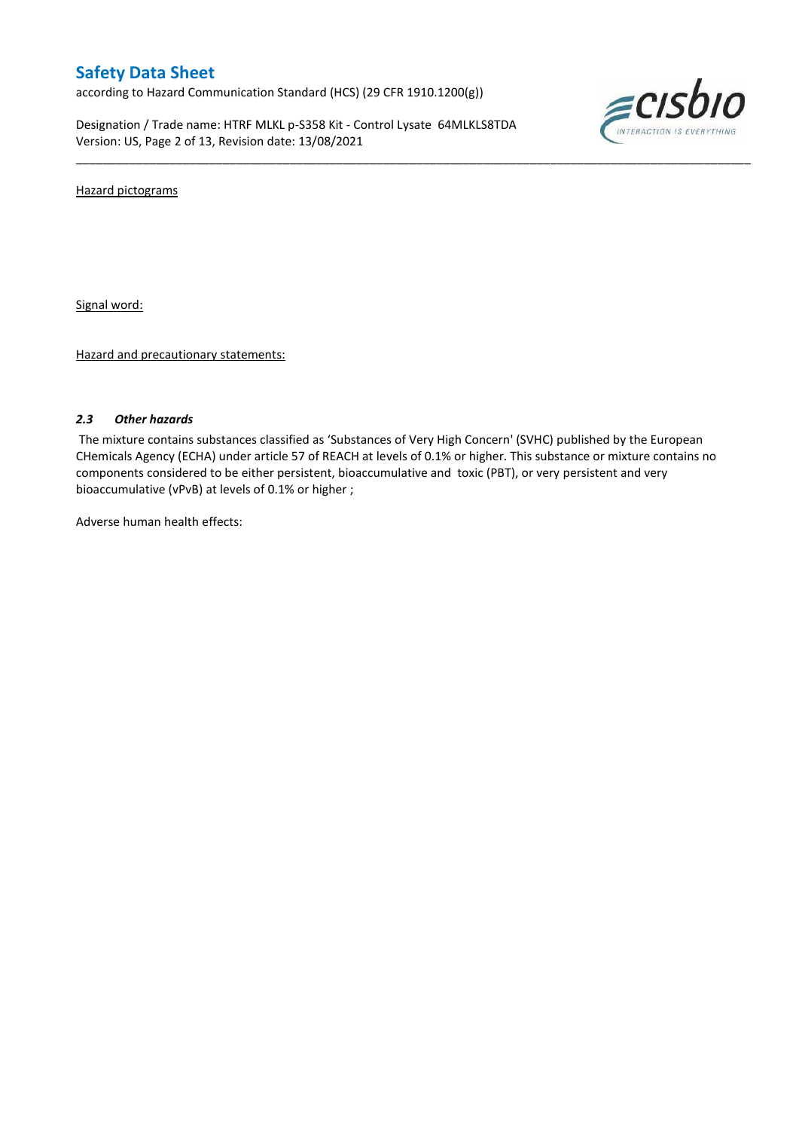according to Hazard Communication Standard (HCS) (29 CFR 1910.1200(g))

Designation / Trade name: HTRF MLKL p-S358 Kit - Control Lysate 64MLKLS8TDA Version: US, Page 2 of 13, Revision date: 13/08/2021



Hazard pictograms

Signal word:

Hazard and precautionary statements:

#### *2.3 Other hazards*

The mixture contains substances classified as 'Substances of Very High Concern' (SVHC) published by the European CHemicals Agency (ECHA) under article 57 of REACH at levels of 0.1% or higher. This substance or mixture contains no components considered to be either persistent, bioaccumulative and toxic (PBT), or very persistent and very bioaccumulative (vPvB) at levels of 0.1% or higher ;

\_\_\_\_\_\_\_\_\_\_\_\_\_\_\_\_\_\_\_\_\_\_\_\_\_\_\_\_\_\_\_\_\_\_\_\_\_\_\_\_\_\_\_\_\_\_\_\_\_\_\_\_\_\_\_\_\_\_\_\_\_\_\_\_\_\_\_\_\_\_\_\_\_\_\_\_\_\_\_\_\_\_\_\_\_\_\_\_\_\_\_\_\_\_\_\_\_\_\_\_\_

Adverse human health effects: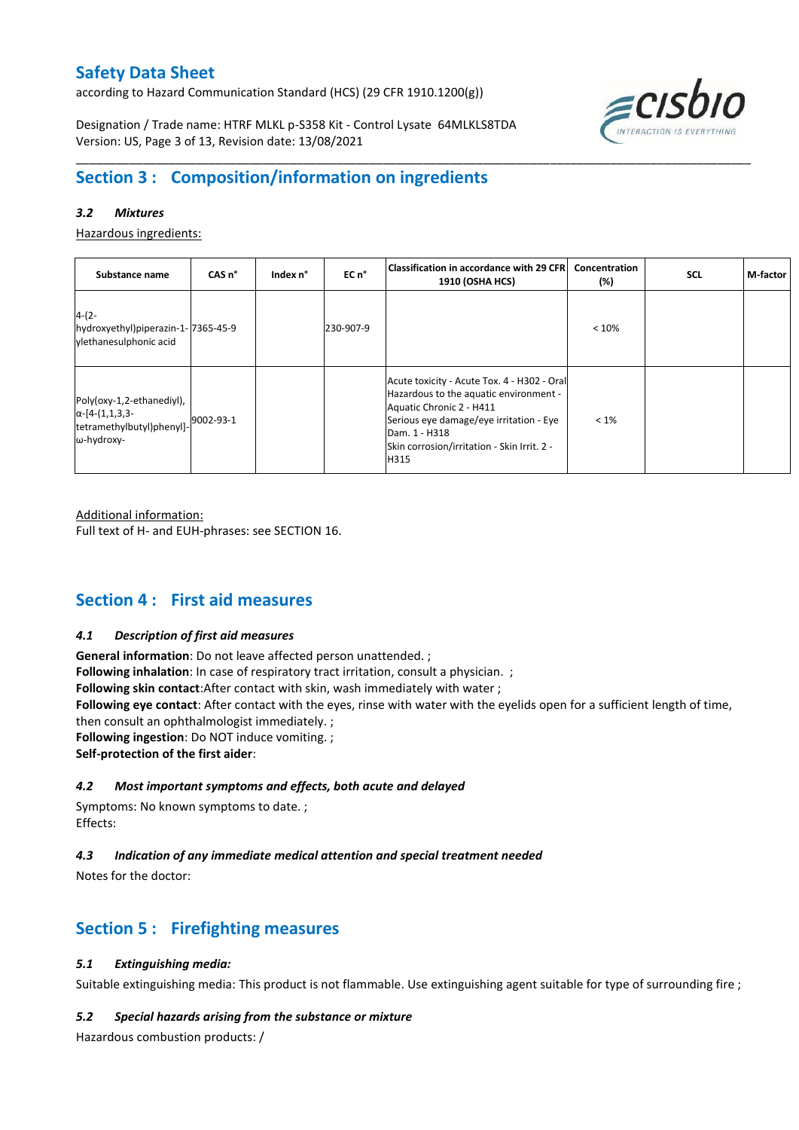according to Hazard Communication Standard (HCS) (29 CFR 1910.1200(g))

Designation / Trade name: HTRF MLKL p-S358 Kit - Control Lysate 64MLKLS8TDA Version: US, Page 3 of 13, Revision date: 13/08/2021



## **Section 3 : Composition/information on ingredients**

### *3.2 Mixtures*

Hazardous ingredients:

| Substance name                                                                                 | CAS <sub>n</sub> ° | Index n° | EC n°     | Classification in accordance with 29 CFR <br><b>1910 (OSHA HCS)</b>                                                                                                                                                                  | Concentration<br>(%) | <b>SCL</b> | M-factor |
|------------------------------------------------------------------------------------------------|--------------------|----------|-----------|--------------------------------------------------------------------------------------------------------------------------------------------------------------------------------------------------------------------------------------|----------------------|------------|----------|
| $4-(2-$<br>hydroxyethyl)piperazin-1-7365-45-9<br>vlethanesulphonic acid                        |                    |          | 230-907-9 |                                                                                                                                                                                                                                      | < 10%                |            |          |
| Poly(oxy-1,2-ethanediyl),<br>$\alpha$ -[4-(1,1,3,3-<br>tetramethylbutyl)phenyl]-<br>ω-hydroxy- | 9002-93-1          |          |           | Acute toxicity - Acute Tox. 4 - H302 - Oral<br>Hazardous to the aquatic environment -<br>Aquatic Chronic 2 - H411<br>Serious eye damage/eye irritation - Eye<br>Dam. 1 - H318<br>Skin corrosion/irritation - Skin Irrit. 2 -<br>H315 | $< 1\%$              |            |          |

\_\_\_\_\_\_\_\_\_\_\_\_\_\_\_\_\_\_\_\_\_\_\_\_\_\_\_\_\_\_\_\_\_\_\_\_\_\_\_\_\_\_\_\_\_\_\_\_\_\_\_\_\_\_\_\_\_\_\_\_\_\_\_\_\_\_\_\_\_\_\_\_\_\_\_\_\_\_\_\_\_\_\_\_\_\_\_\_\_\_\_\_\_\_\_\_\_\_\_\_\_

Additional information:

Full text of H- and EUH-phrases: see SECTION 16.

## **Section 4 : First aid measures**

#### *4.1 Description of first aid measures*

**General information**: Do not leave affected person unattended. ; **Following inhalation**: In case of respiratory tract irritation, consult a physician. ; **Following skin contact**:After contact with skin, wash immediately with water ; **Following eye contact**: After contact with the eyes, rinse with water with the eyelids open for a sufficient length of time, then consult an ophthalmologist immediately. ; **Following ingestion**: Do NOT induce vomiting. ; **Self-protection of the first aider**:

### *4.2 Most important symptoms and effects, both acute and delayed*

Symptoms: No known symptoms to date. ; Effects:

### *4.3 Indication of any immediate medical attention and special treatment needed*

Notes for the doctor:

## **Section 5 : Firefighting measures**

### *5.1 Extinguishing media:*

Suitable extinguishing media: This product is not flammable. Use extinguishing agent suitable for type of surrounding fire ;

#### *5.2 Special hazards arising from the substance or mixture*

Hazardous combustion products: /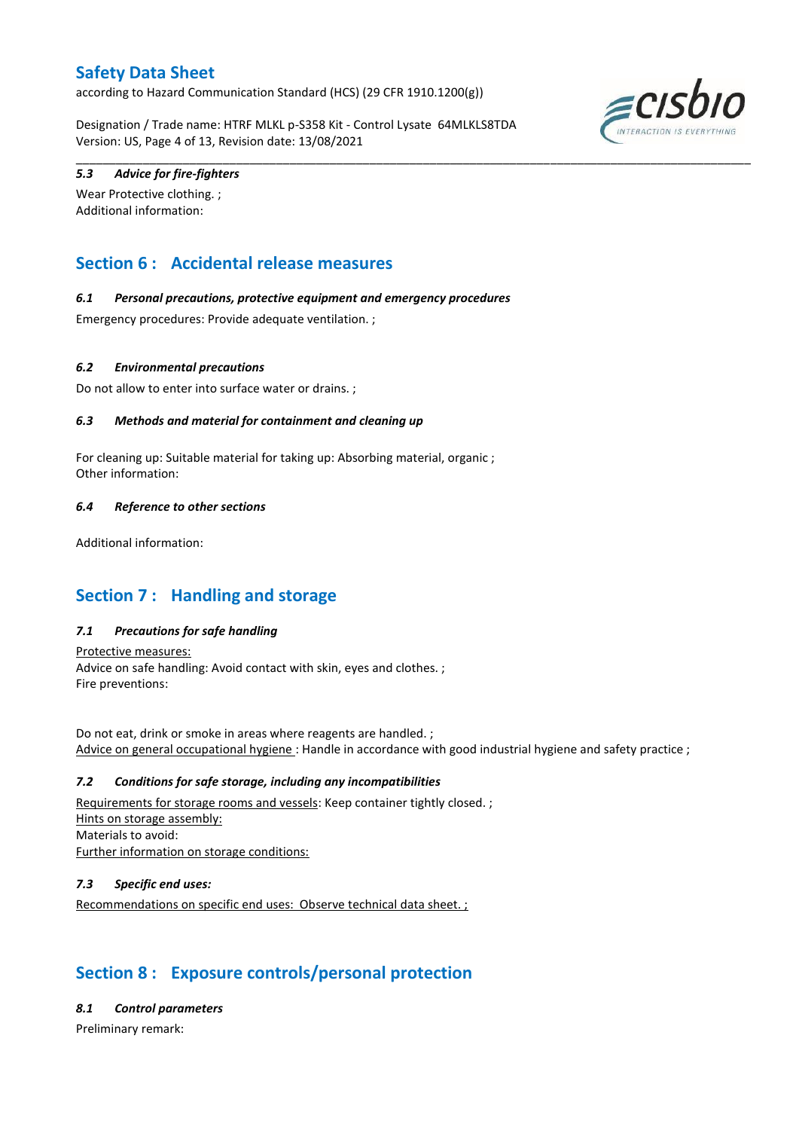according to Hazard Communication Standard (HCS) (29 CFR 1910.1200(g))

Designation / Trade name: HTRF MLKL p-S358 Kit - Control Lysate 64MLKLS8TDA Version: US, Page 4 of 13, Revision date: 13/08/2021

\_\_\_\_\_\_\_\_\_\_\_\_\_\_\_\_\_\_\_\_\_\_\_\_\_\_\_\_\_\_\_\_\_\_\_\_\_\_\_\_\_\_\_\_\_\_\_\_\_\_\_\_\_\_\_\_\_\_\_\_\_\_\_\_\_\_\_\_\_\_\_\_\_\_\_\_\_\_\_\_\_\_\_\_\_\_\_\_\_\_\_\_\_\_\_\_\_\_\_\_\_



### *5.3 Advice for fire-fighters*

Wear Protective clothing. ; Additional information:

## **Section 6 : Accidental release measures**

### *6.1 Personal precautions, protective equipment and emergency procedures*

Emergency procedures: Provide adequate ventilation. ;

### *6.2 Environmental precautions*

Do not allow to enter into surface water or drains. ;

### *6.3 Methods and material for containment and cleaning up*

For cleaning up: Suitable material for taking up: Absorbing material, organic ; Other information:

### *6.4 Reference to other sections*

Additional information:

## **Section 7 : Handling and storage**

### *7.1 Precautions for safe handling*

Protective measures: Advice on safe handling: Avoid contact with skin, eyes and clothes. ; Fire preventions:

Do not eat, drink or smoke in areas where reagents are handled. ; Advice on general occupational hygiene : Handle in accordance with good industrial hygiene and safety practice ;

#### *7.2 Conditions for safe storage, including any incompatibilities*

Requirements for storage rooms and vessels: Keep container tightly closed. ; Hints on storage assembly: Materials to avoid: Further information on storage conditions:

### *7.3 Specific end uses:*

Recommendations on specific end uses: Observe technical data sheet. ;

## **Section 8 : Exposure controls/personal protection**

#### *8.1 Control parameters*

Preliminary remark: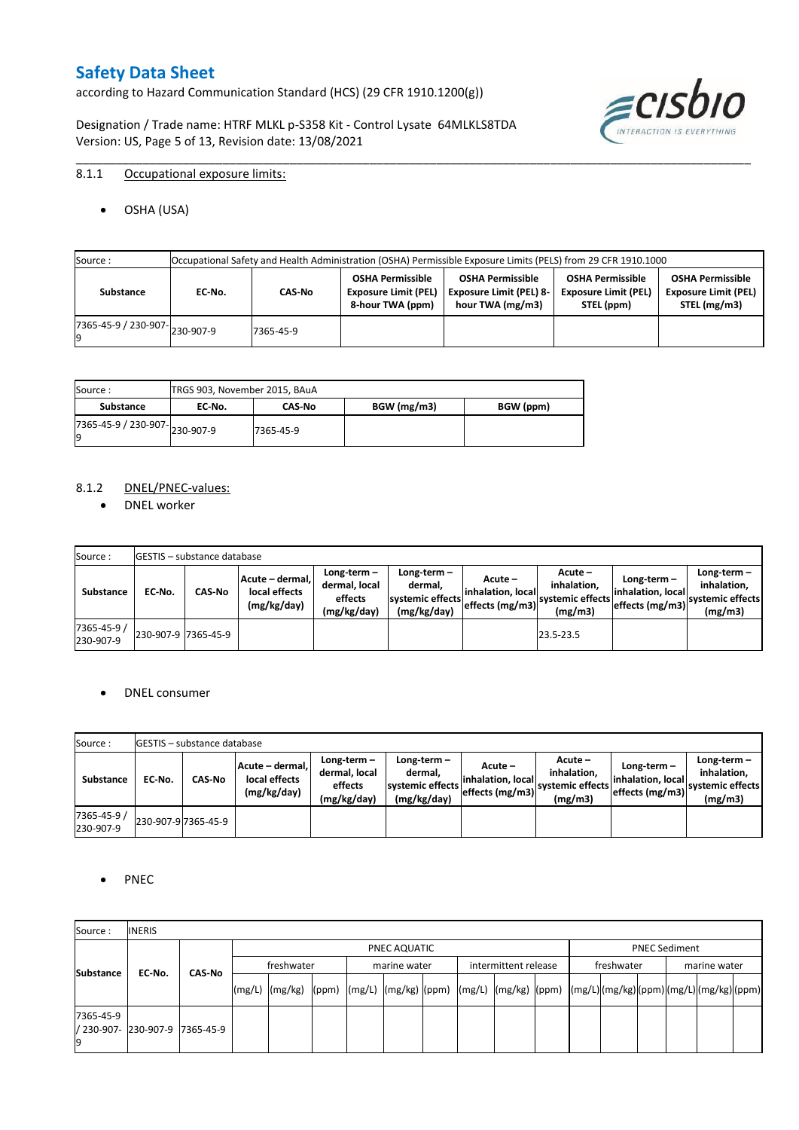according to Hazard Communication Standard (HCS) (29 CFR 1910.1200(g))

Designation / Trade name: HTRF MLKL p-S358 Kit - Control Lysate 64MLKLS8TDA Version: US, Page 5 of 13, Revision date: 13/08/2021



### 8.1.1 Occupational exposure limits:

OSHA (USA)

| Source :                             |        |           |                                                                            | Occupational Safety and Health Administration (OSHA) Permissible Exposure Limits (PELS) from 29 CFR 1910.1000 |                                                                      |                                                                        |
|--------------------------------------|--------|-----------|----------------------------------------------------------------------------|---------------------------------------------------------------------------------------------------------------|----------------------------------------------------------------------|------------------------------------------------------------------------|
| Substance                            | EC No. | CAS-No    | <b>OSHA Permissible</b><br><b>Exposure Limit (PEL)</b><br>8-hour TWA (ppm) | <b>OSHA Permissible</b><br><b>Exposure Limit (PEL) 8-</b><br>hour TWA (mg/m3)                                 | <b>OSHA Permissible</b><br><b>Exposure Limit (PEL)</b><br>STEL (ppm) | <b>OSHA Permissible</b><br><b>Exposure Limit (PEL)</b><br>STEL (mg/m3) |
| $(7365-45-9) / 230-907$ $ 230-907-9$ |        | 7365-45-9 |                                                                            |                                                                                                               |                                                                      |                                                                        |

\_\_\_\_\_\_\_\_\_\_\_\_\_\_\_\_\_\_\_\_\_\_\_\_\_\_\_\_\_\_\_\_\_\_\_\_\_\_\_\_\_\_\_\_\_\_\_\_\_\_\_\_\_\_\_\_\_\_\_\_\_\_\_\_\_\_\_\_\_\_\_\_\_\_\_\_\_\_\_\_\_\_\_\_\_\_\_\_\_\_\_\_\_\_\_\_\_\_\_\_\_

| Source:                              |        | TRGS 903, November 2015, BAuA |             |           |  |  |  |  |  |  |  |
|--------------------------------------|--------|-------------------------------|-------------|-----------|--|--|--|--|--|--|--|
| Substance                            | EC No. | <b>CAS No</b>                 | BGW (mg/m3) | BGW (ppm) |  |  |  |  |  |  |  |
| ./365-45-9 / 230-907-230-907-9<br>19 |        | 7365-45-9                     |             |           |  |  |  |  |  |  |  |

#### 8.1.2 DNEL/PNEC-values:

• DNEL worker

| Source:                  |                     | <b>GESTIS</b> – substance database |                                                 |                                                          |                                                             |                                |                                                                              |                                      |                                                                             |
|--------------------------|---------------------|------------------------------------|-------------------------------------------------|----------------------------------------------------------|-------------------------------------------------------------|--------------------------------|------------------------------------------------------------------------------|--------------------------------------|-----------------------------------------------------------------------------|
| Substance                | EC-No.              | <b>CAS-No</b>                      | Acute – dermal.<br>local effects<br>(mg/kg/day) | Long-term $-$<br>dermal, local<br>effects<br>(mg/kg/day) | Long-term $-$<br>dermal.<br>systemic effects<br>(mg/kg/day) | Acute –<br>linhalation. locall | Acute -<br>inhalation.<br>effects (mg/m3) systemic effects   etc.<br>(mg/m3) | Long-term $-$<br>linhalation. locall | $Long-term -$<br>inhalation.<br>effects (mg/m3) systemic effects<br>(mg/m3) |
| 7365-45-9 /<br>230-907-9 | 230-907-9 7365-45-9 |                                    |                                                 |                                                          |                                                             |                                | 23.5-23.5                                                                    |                                      |                                                                             |

#### DNEL consumer

| Source:                  |        | <b>IGESTIS – substance database</b> |                                                 |                                                          |                                                             |                                                        |                                                       |                                                        |                                                             |
|--------------------------|--------|-------------------------------------|-------------------------------------------------|----------------------------------------------------------|-------------------------------------------------------------|--------------------------------------------------------|-------------------------------------------------------|--------------------------------------------------------|-------------------------------------------------------------|
| Substance                | EC No. | CAS-No                              | Acute - dermal,<br>local effects<br>(mg/kg/day) | Long-term $-$<br>dermal, local<br>effects<br>(mg/kg/day) | $Long-term -$<br>dermal.<br>systemic effects<br>(mg/kg/day) | Acute –<br>linhalation. local<br>$effects$ (mg/m3) $ $ | Acute -<br>inhalation.<br>systemic effects<br>(mg/m3) | $Long-term -$<br>linhalation. local<br>effects (mg/m3) | Long-term $-$<br>inhalation.<br>systemic effects<br>(mg/m3) |
| 7365-45-9 /<br>230-907-9 |        | 230-907-9 7365-45-9                 |                                                 |                                                          |                                                             |                                                        |                                                       |                                                        |                                                             |

### • PNEC

| Source:          | <b>INERIS</b>                  |        |        |                                                                                                           |  |  |              |  |                      |                      |            |  |  |              |  |  |  |
|------------------|--------------------------------|--------|--------|-----------------------------------------------------------------------------------------------------------|--|--|--------------|--|----------------------|----------------------|------------|--|--|--------------|--|--|--|
|                  |                                |        |        | PNEC AQUATIC                                                                                              |  |  |              |  |                      | <b>PNEC Sediment</b> |            |  |  |              |  |  |  |
| <b>Substance</b> | EC-No.                         | CAS No |        | freshwater                                                                                                |  |  | marine water |  | intermittent release |                      | freshwater |  |  | marine water |  |  |  |
|                  |                                |        | (mg/L) | (mg/kg)  (ppm)  (mg/L)  (mg/kg)  (ppm)  (mg/L)  (mg/kg)  (ppm)  (mg/L) (mg/kg) (ppm) (mg/L) (mg/kg) (ppm) |  |  |              |  |                      |                      |            |  |  |              |  |  |  |
| 7365-45-9        | / 230-907- 230-907-9 7365-45-9 |        |        |                                                                                                           |  |  |              |  |                      |                      |            |  |  |              |  |  |  |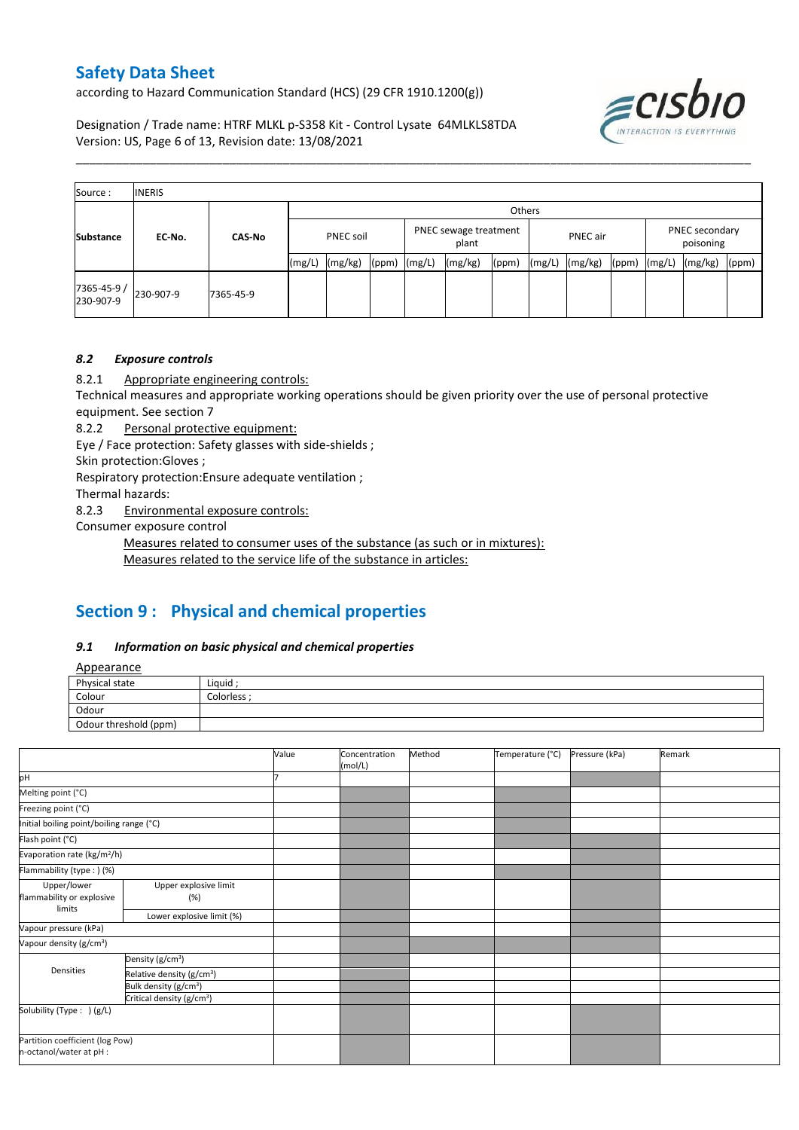according to Hazard Communication Standard (HCS) (29 CFR 1910.1200(g))

≡CISL

Designation / Trade name: HTRF MLKL p-S358 Kit - Control Lysate 64MLKLS8TDA Version: US, Page 6 of 13, Revision date: 13/08/2021

| Source:                  | <b>INERIS</b> |               |        |                                                                                                                                                             |  |  |  |  |  |                             |  |         |       |
|--------------------------|---------------|---------------|--------|-------------------------------------------------------------------------------------------------------------------------------------------------------------|--|--|--|--|--|-----------------------------|--|---------|-------|
|                          |               |               |        | Others<br>PNEC sewage treatment<br>PNEC soil<br>PNEC air<br>plant<br>(mg/kg)<br>(mg/kg)<br>(mg/kg)<br>(mg/L)<br>(mg/L)<br>(mg/L)<br>(ppm)<br>(ppm)<br>(ppm) |  |  |  |  |  |                             |  |         |       |
| <b>Substance</b>         | EC-No.        | <b>CAS-No</b> |        |                                                                                                                                                             |  |  |  |  |  | PNEC secondary<br>poisoning |  |         |       |
|                          |               |               | (mg/L) |                                                                                                                                                             |  |  |  |  |  |                             |  | (mg/kg) | (ppm) |
| 7365-45-9 /<br>230-907-9 | 230-907-9     | 7365-45-9     |        |                                                                                                                                                             |  |  |  |  |  |                             |  |         |       |

\_\_\_\_\_\_\_\_\_\_\_\_\_\_\_\_\_\_\_\_\_\_\_\_\_\_\_\_\_\_\_\_\_\_\_\_\_\_\_\_\_\_\_\_\_\_\_\_\_\_\_\_\_\_\_\_\_\_\_\_\_\_\_\_\_\_\_\_\_\_\_\_\_\_\_\_\_\_\_\_\_\_\_\_\_\_\_\_\_\_\_\_\_\_\_\_\_\_\_\_\_

#### *8.2 Exposure controls*

8.2.1 Appropriate engineering controls:

Technical measures and appropriate working operations should be given priority over the use of personal protective equipment. See section 7

8.2.2 Personal protective equipment:

Eye / Face protection: Safety glasses with side-shields ;

Skin protection:Gloves ;

Respiratory protection:Ensure adequate ventilation ;

Thermal hazards:

8.2.3 Environmental exposure controls:

Consumer exposure control

Measures related to consumer uses of the substance (as such or in mixtures):

Measures related to the service life of the substance in articles:

## **Section 9 : Physical and chemical properties**

#### *9.1 Information on basic physical and chemical properties*

Appearance

| <i><u><b>Tippeurunce</b></u></i> |           |
|----------------------------------|-----------|
| Physical state                   | Liquid    |
| Colour                           | Colorless |
| Odour                            |           |
| Odour threshold (ppm)            |           |

|                                                            |                                       | Value | Concentration<br>(mol/L) | Method | Temperature (°C) | Pressure (kPa) | Remark |
|------------------------------------------------------------|---------------------------------------|-------|--------------------------|--------|------------------|----------------|--------|
| þН                                                         |                                       |       |                          |        |                  |                |        |
| Melting point (°C)                                         |                                       |       |                          |        |                  |                |        |
| Freezing point (°C)                                        |                                       |       |                          |        |                  |                |        |
| Initial boiling point/boiling range (°C)                   |                                       |       |                          |        |                  |                |        |
| Flash point (°C)                                           |                                       |       |                          |        |                  |                |        |
| Evaporation rate (kg/m <sup>2</sup> /h)                    |                                       |       |                          |        |                  |                |        |
| Flammability (type:) (%)                                   |                                       |       |                          |        |                  |                |        |
| Upper/lower<br>flammability or explosive<br>limits         | Upper explosive limit<br>(%)          |       |                          |        |                  |                |        |
|                                                            | Lower explosive limit (%)             |       |                          |        |                  |                |        |
| Vapour pressure (kPa)                                      |                                       |       |                          |        |                  |                |        |
| Vapour density (g/cm <sup>3</sup> )                        |                                       |       |                          |        |                  |                |        |
|                                                            | Density (g/cm <sup>3</sup> )          |       |                          |        |                  |                |        |
| Densities                                                  | Relative density (g/cm <sup>3</sup> ) |       |                          |        |                  |                |        |
|                                                            | Bulk density (g/cm <sup>3</sup> )     |       |                          |        |                  |                |        |
|                                                            | Critical density (g/cm <sup>3</sup> ) |       |                          |        |                  |                |        |
| Solubility (Type: ) (g/L)                                  |                                       |       |                          |        |                  |                |        |
| Partition coefficient (log Pow)<br>n-octanol/water at pH : |                                       |       |                          |        |                  |                |        |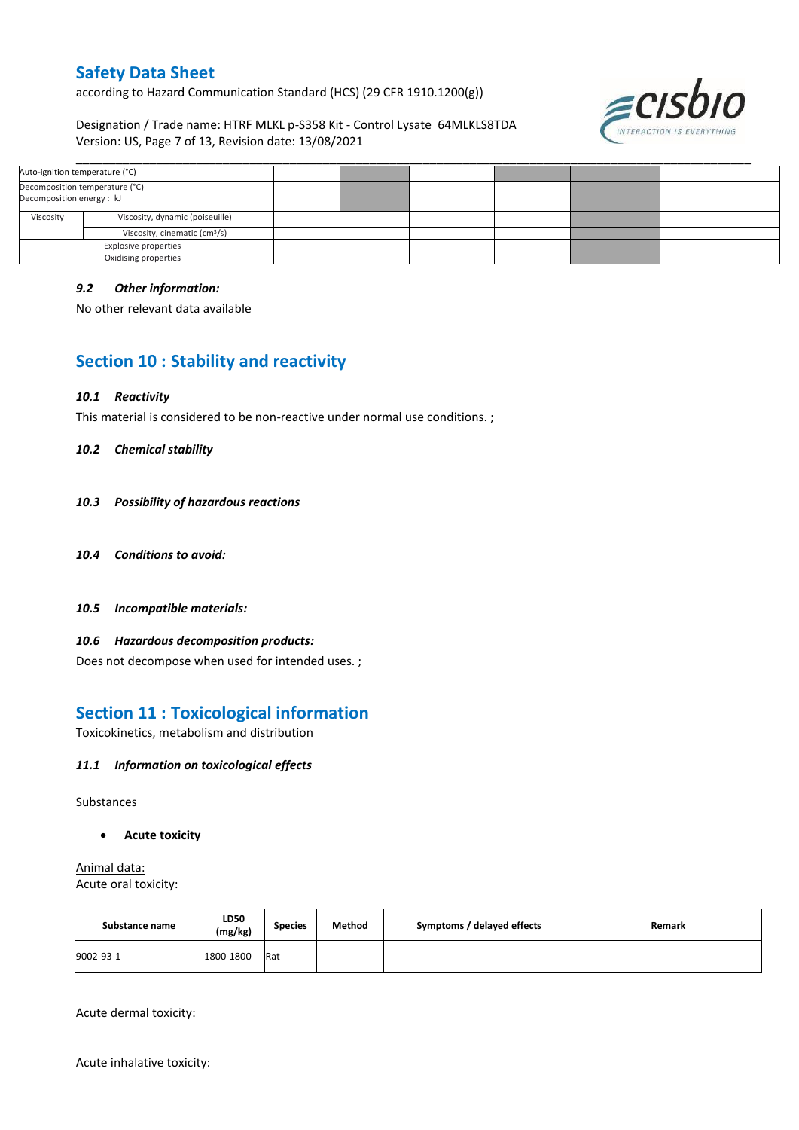according to Hazard Communication Standard (HCS) (29 CFR 1910.1200(g))

Designation / Trade name: HTRF MLKL p-S358 Kit - Control Lysate 64MLKLS8TDA Version: US, Page 7 of 13, Revision date: 13/08/2021



| Auto-ignition temperature (°C)                              |                                 |  |  |  |  |
|-------------------------------------------------------------|---------------------------------|--|--|--|--|
| Decomposition temperature (°C)<br>Decomposition energy : kJ |                                 |  |  |  |  |
| Viscosity                                                   | Viscosity, dynamic (poiseuille) |  |  |  |  |
| Viscosity, cinematic (cm <sup>3</sup> /s)                   |                                 |  |  |  |  |
|                                                             | <b>Explosive properties</b>     |  |  |  |  |
|                                                             | Oxidising properties            |  |  |  |  |

#### *9.2 Other information:*

No other relevant data available

## **Section 10 : Stability and reactivity**

#### *10.1 Reactivity*

This material is considered to be non-reactive under normal use conditions. ;

#### *10.2 Chemical stability*

- *10.3 Possibility of hazardous reactions*
- *10.4 Conditions to avoid:*
- *10.5 Incompatible materials:*

#### *10.6 Hazardous decomposition products:*

Does not decompose when used for intended uses. ;

### **Section 11 : Toxicological information**

Toxicokinetics, metabolism and distribution

#### *11.1 Information on toxicological effects*

#### Substances

**Acute toxicity**

Animal data: Acute oral toxicity:

| Substance name | LD50<br>(mg/kg) | <b>Species</b> | Method | Symptoms / delayed effects | Remark |
|----------------|-----------------|----------------|--------|----------------------------|--------|
| 9002-93-1      | 1800-1800       | Rat            |        |                            |        |

Acute dermal toxicity:

Acute inhalative toxicity: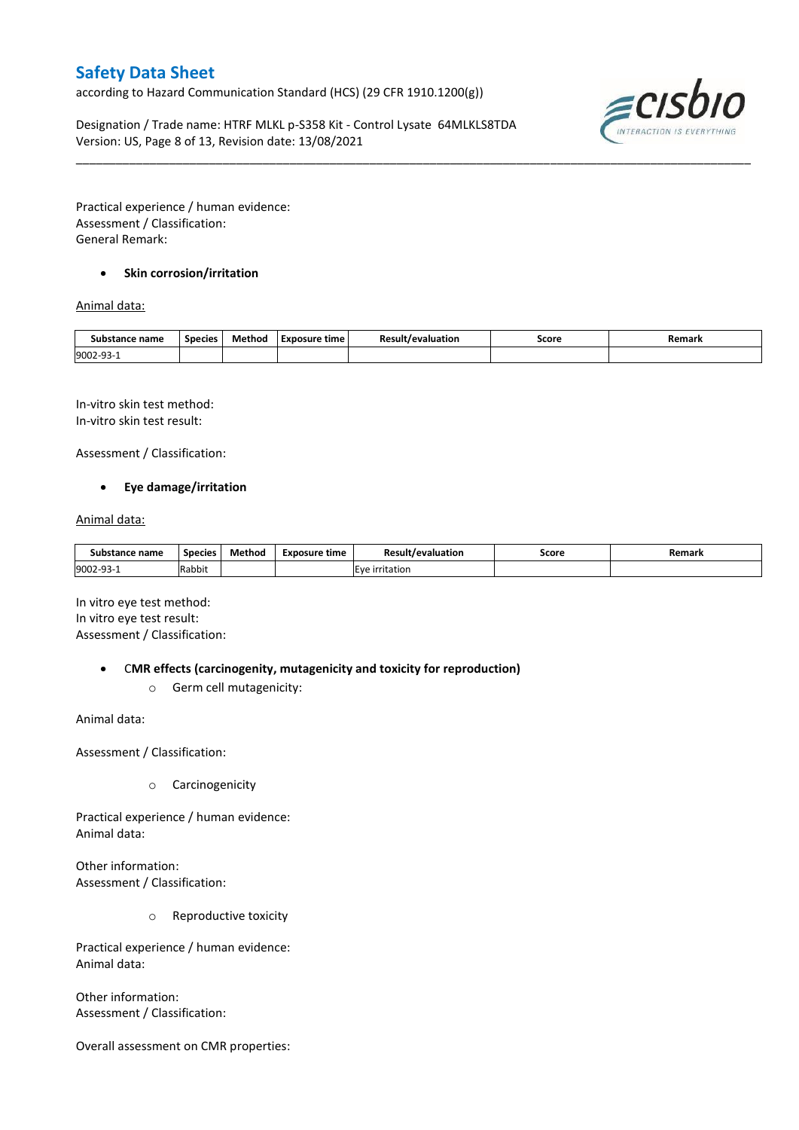according to Hazard Communication Standard (HCS) (29 CFR 1910.1200(g))

Designation / Trade name: HTRF MLKL p-S358 Kit - Control Lysate 64MLKLS8TDA Version: US, Page 8 of 13, Revision date: 13/08/2021



Practical experience / human evidence: Assessment / Classification: General Remark:

### **•** Skin corrosion/irritation

### Animal data:

| Substance name        | <b>Species</b> | Method | Exposure time | Result/evaluation | Score | Remark |
|-----------------------|----------------|--------|---------------|-------------------|-------|--------|
| 9002-93<br><b>سات</b> |                |        |               |                   |       |        |

\_\_\_\_\_\_\_\_\_\_\_\_\_\_\_\_\_\_\_\_\_\_\_\_\_\_\_\_\_\_\_\_\_\_\_\_\_\_\_\_\_\_\_\_\_\_\_\_\_\_\_\_\_\_\_\_\_\_\_\_\_\_\_\_\_\_\_\_\_\_\_\_\_\_\_\_\_\_\_\_\_\_\_\_\_\_\_\_\_\_\_\_\_\_\_\_\_\_\_\_\_

In-vitro skin test method: In-vitro skin test result:

Assessment / Classification:

#### **Eye damage/irritation**

#### Animal data:

| Substance name         | <b>Species</b> | Method | Exposure time | <b>Result/evaluation</b> | Score | Remarl |
|------------------------|----------------|--------|---------------|--------------------------|-------|--------|
| 9002-93-<br><b>سات</b> | Rabbit         |        |               | Eve irritation           |       |        |

In vitro eye test method: In vitro eye test result: Assessment / Classification:

C**MR effects (carcinogenity, mutagenicity and toxicity for reproduction)**

o Germ cell mutagenicity:

Animal data:

Assessment / Classification:

o Carcinogenicity

Practical experience / human evidence: Animal data:

Other information: Assessment / Classification:

o Reproductive toxicity

Practical experience / human evidence: Animal data:

Other information: Assessment / Classification:

Overall assessment on CMR properties: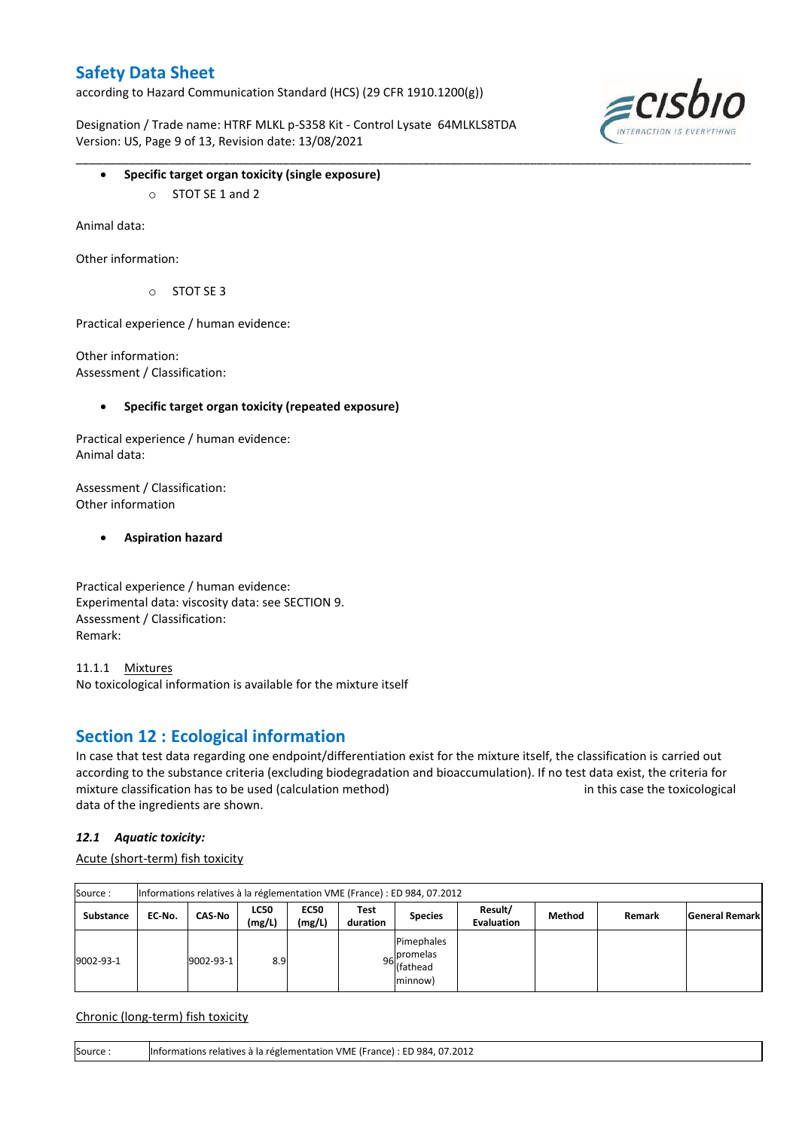according to Hazard Communication Standard (HCS) (29 CFR 1910.1200(g))

Designation / Trade name: HTRF MLKL p-S358 Kit - Control Lysate 64MLKLS8TDA Version: US, Page 9 of 13, Revision date: 13/08/2021

\_\_\_\_\_\_\_\_\_\_\_\_\_\_\_\_\_\_\_\_\_\_\_\_\_\_\_\_\_\_\_\_\_\_\_\_\_\_\_\_\_\_\_\_\_\_\_\_\_\_\_\_\_\_\_\_\_\_\_\_\_\_\_\_\_\_\_\_\_\_\_\_\_\_\_\_\_\_\_\_\_\_\_\_\_\_\_\_\_\_\_\_\_\_\_\_\_\_\_\_\_



- **Specific target organ toxicity (single exposure)**
	- o STOT SE 1 and 2

Animal data:

Other information:

 $O$  STOT SE 3

Practical experience / human evidence:

Other information: Assessment / Classification:

**Specific target organ toxicity (repeated exposure)**

Practical experience / human evidence: Animal data:

Assessment / Classification: Other information

**Aspiration hazard**

Practical experience / human evidence: Experimental data: viscosity data: see SECTION 9. Assessment / Classification: Remark:

11.1.1 Mixtures No toxicological information is available for the mixture itself

### **Section 12 : Ecological information**

In case that test data regarding one endpoint/differentiation exist for the mixture itself, the classification is carried out according to the substance criteria (excluding biodegradation and bioaccumulation). If no test data exist, the criteria for mixture classification has to be used (calculation method) in this case the toxicological data of the ingredients are shown.

### *12.1 Aquatic toxicity:*

Acute (short-term) fish toxicity

| Source:   | Informations relatives à la réglementation VME (France) : ED 984, 07.2012 |           |                       |                       |                  |                                                  |                              |        |        |                       |  |  |
|-----------|---------------------------------------------------------------------------|-----------|-----------------------|-----------------------|------------------|--------------------------------------------------|------------------------------|--------|--------|-----------------------|--|--|
| Substance | EC No.                                                                    | CAS-No    | <b>LC50</b><br>(mg/L) | <b>EC50</b><br>(mg/L) | Test<br>duration | <b>Species</b>                                   | Result/<br><b>Evaluation</b> | Method | Remark | <b>General Remark</b> |  |  |
| 9002-93-1 |                                                                           | 9002-93-1 | 8.9                   |                       |                  | Pimephales<br>96 promelas<br>(fathead<br>minnow) |                              |        |        |                       |  |  |

Chronic (long-term) fish toxicity

Source : Informations relatives à la réglementation VME (France) : ED 984, 07.2012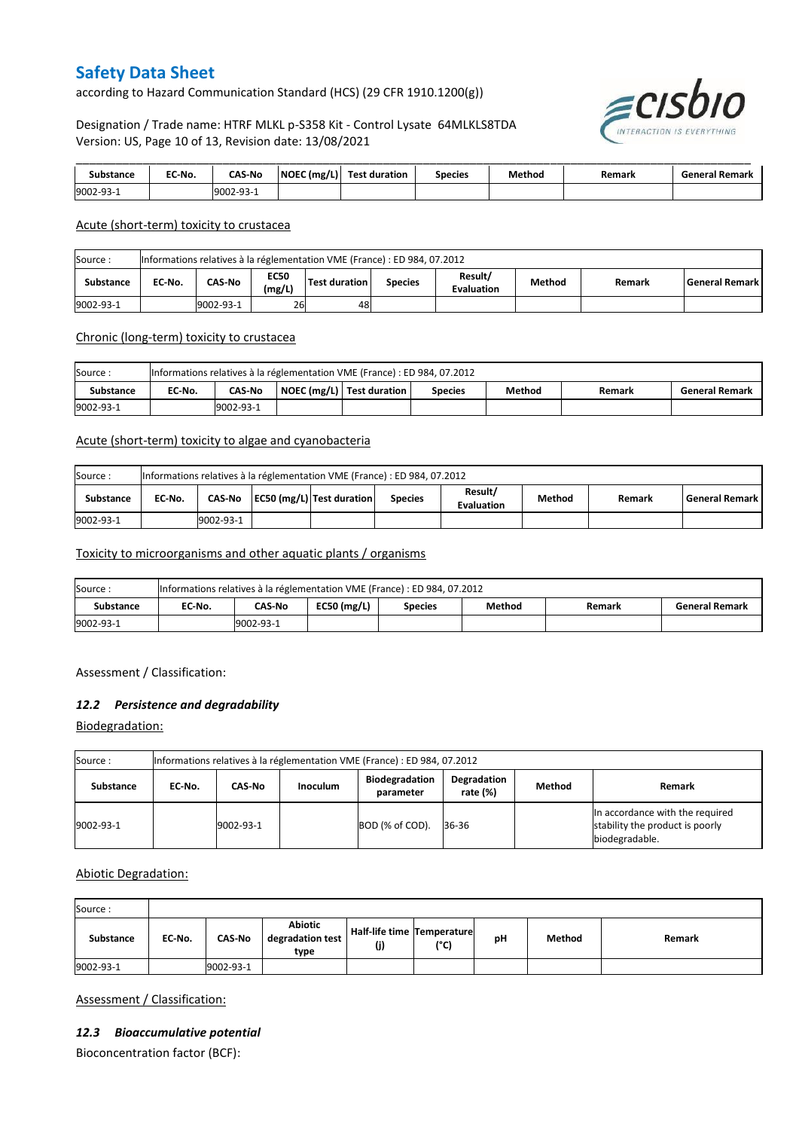according to Hazard Communication Standard (HCS) (29 CFR 1910.1200(g))

Designation / Trade name: HTRF MLKL p-S358 Kit - Control Lysate 64MLKLS8TDA Version: US, Page 10 of 13, Revision date: 13/08/2021



| ≒tance    | EC-No. | <b>CAS-No</b> | NOEC (mg/L) | Test .<br>: duration | Species | Method | Remark | Remark<br>Tenera. |
|-----------|--------|---------------|-------------|----------------------|---------|--------|--------|-------------------|
| 9002-93-3 |        | 9002-93-1     |             |                      |         |        |        |                   |

#### Acute (short-term) toxicity to crustacea

| Informations relatives à la réglementation VME (France) : ED 984, 07.2012<br>Source: |                                                                                                                                                        |  |  |  |  |  |  |  |  |  |  |
|--------------------------------------------------------------------------------------|--------------------------------------------------------------------------------------------------------------------------------------------------------|--|--|--|--|--|--|--|--|--|--|
| <b>Substance</b>                                                                     | Result/<br><b>EC50</b><br>CAS-No<br>Method<br>Test duration<br>EC No.<br>l General Remark l<br><b>Species</b><br>Remark<br>(mg/L)<br><b>Evaluation</b> |  |  |  |  |  |  |  |  |  |  |
| 9002-93-1                                                                            | 26<br>9002-93-1<br>48                                                                                                                                  |  |  |  |  |  |  |  |  |  |  |

#### Chronic (long-term) toxicity to crustacea

| Source:          | Informations relatives à la réglementation VME (France) : ED 984, 07.2012                                             |           |  |  |  |  |  |  |  |  |  |
|------------------|-----------------------------------------------------------------------------------------------------------------------|-----------|--|--|--|--|--|--|--|--|--|
| <b>Substance</b> | NOEC (mg/L)   Test duration<br>Method<br>EC No.<br><b>CAS No</b><br><b>General Remark</b><br><b>Species</b><br>Remark |           |  |  |  |  |  |  |  |  |  |
| 9002-93-1        |                                                                                                                       | 9002-93-1 |  |  |  |  |  |  |  |  |  |

#### Acute (short-term) toxicity to algae and cyanobacteria

| Informations relatives à la réglementation VME (France) : ED 984, 07.2012<br>Source: |                                                                                                                                           |           |  |  |  |  |  |  |  |  |
|--------------------------------------------------------------------------------------|-------------------------------------------------------------------------------------------------------------------------------------------|-----------|--|--|--|--|--|--|--|--|
| <b>Substance</b>                                                                     | Result/<br>EC50 (mg/L) Test duration<br>Method<br>CAS-No<br>l General Remark l<br>EC No.<br><b>Species</b><br>Remark<br><b>Evaluation</b> |           |  |  |  |  |  |  |  |  |
| 9002-93-1                                                                            |                                                                                                                                           | 9002-93-1 |  |  |  |  |  |  |  |  |

#### Toxicity to microorganisms and other aquatic plants / organisms

| Source    | Informations relatives à la réglementation VME (France) : ED 984, 07.2012 |                                                                                        |  |  |  |  |  |  |  |  |  |
|-----------|---------------------------------------------------------------------------|----------------------------------------------------------------------------------------|--|--|--|--|--|--|--|--|--|
| Substance | EC-No.                                                                    | $EC50$ (mg/L)<br>CAS-No<br>Method<br><b>General Remark</b><br><b>Species</b><br>Remark |  |  |  |  |  |  |  |  |  |
| 9002-93-1 |                                                                           | 19002-93-1                                                                             |  |  |  |  |  |  |  |  |  |

Assessment / Classification:

#### *12.2 Persistence and degradability*

Biodegradation:

| Source:          | Informations relatives à la réglementation VME (France) : ED 984, 07.2012 |               |  |                 |       |  |                                                                                      |  |  |  |  |
|------------------|---------------------------------------------------------------------------|---------------|--|-----------------|-------|--|--------------------------------------------------------------------------------------|--|--|--|--|
| <b>Substance</b> | EC-No.                                                                    | <b>Remark</b> |  |                 |       |  |                                                                                      |  |  |  |  |
| 9002-93-1        |                                                                           | 9002-93-1     |  | BOD (% of COD). | 36-36 |  | In accordance with the required<br>stability the product is poorly<br>biodegradable. |  |  |  |  |

### Abiotic Degradation:

| Source:   |        |               |                                            |                                          |      |    |        |        |
|-----------|--------|---------------|--------------------------------------------|------------------------------------------|------|----|--------|--------|
| Substance | EC-No. | <b>CAS-No</b> | <b>Abiotic</b><br>degradation test<br>type | <b>Half-life time Temperature</b><br>(j) | (°C) | рH | Method | Remark |
| 9002-93-1 |        | 9002-93-1     |                                            |                                          |      |    |        |        |

Assessment / Classification:

#### *12.3 Bioaccumulative potential*

Bioconcentration factor (BCF):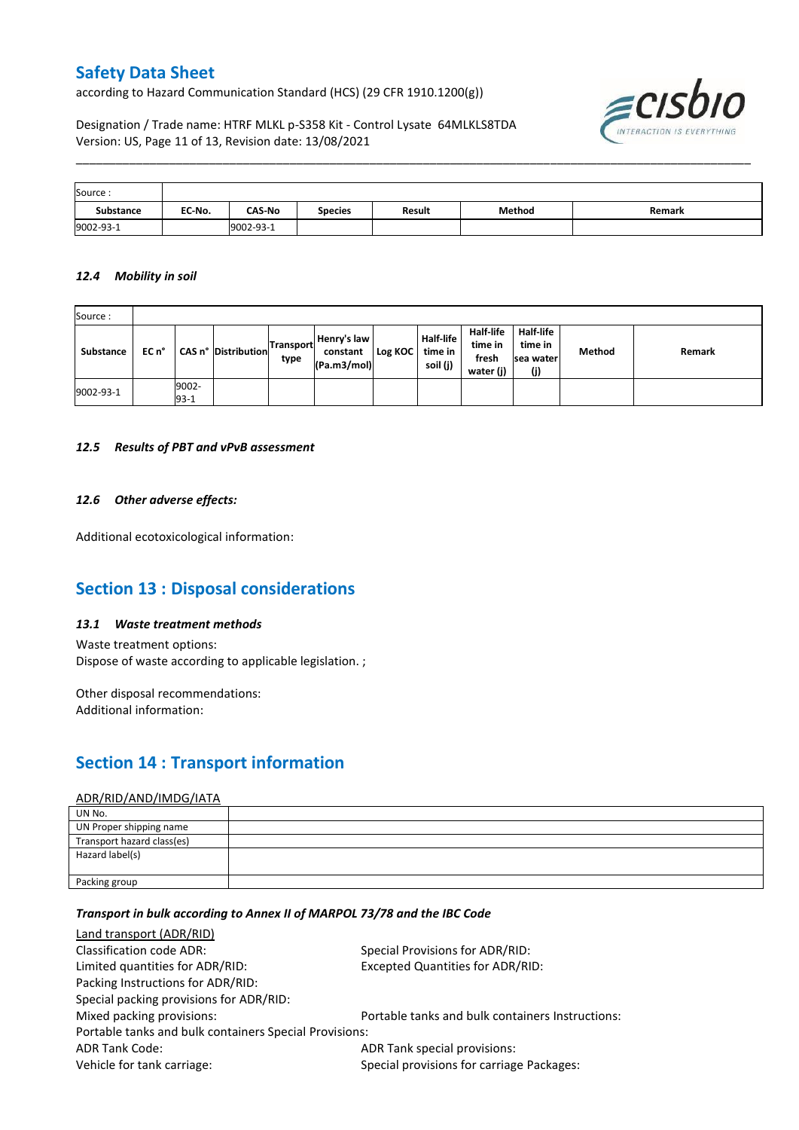according to Hazard Communication Standard (HCS) (29 CFR 1910.1200(g))

 $\epsilon$ CISI INTERACTION IS EVERYTHING

### Designation / Trade name: HTRF MLKL p-S358 Kit - Control Lysate 64MLKLS8TDA Version: US, Page 11 of 13, Revision date: 13/08/2021

| Source:   |        |               |                |        |        |        |
|-----------|--------|---------------|----------------|--------|--------|--------|
| Substance | EC-No. | <b>CAS-No</b> | <b>Species</b> | Result | Method | Remark |
| 9002-93-1 |        | 9002-93-1     |                |        |        |        |

\_\_\_\_\_\_\_\_\_\_\_\_\_\_\_\_\_\_\_\_\_\_\_\_\_\_\_\_\_\_\_\_\_\_\_\_\_\_\_\_\_\_\_\_\_\_\_\_\_\_\_\_\_\_\_\_\_\_\_\_\_\_\_\_\_\_\_\_\_\_\_\_\_\_\_\_\_\_\_\_\_\_\_\_\_\_\_\_\_\_\_\_\_\_\_\_\_\_\_\_\_

#### *12.4 Mobility in soil*

| Source:   |       |                 |                            |                          |                                        |         |                                         |                                                   |                                          |        |        |
|-----------|-------|-----------------|----------------------------|--------------------------|----------------------------------------|---------|-----------------------------------------|---------------------------------------------------|------------------------------------------|--------|--------|
| Substance | EC n° |                 | <b>CAS n° Distribution</b> | <b>Transport</b><br>type | Henry's law<br>constant<br>(Pa.m3/mol) | Log KOC | <b>Half-life</b><br>time in<br>soil (j) | <b>Half-life</b><br>time in<br>fresh<br>water (j) | Half-life<br>time in<br>sea water<br>(j) | Method | Remark |
| 9002-93-1 |       | 9002-<br>$93-1$ |                            |                          |                                        |         |                                         |                                                   |                                          |        |        |

#### *12.5 Results of PBT and vPvB assessment*

#### *12.6 Other adverse effects:*

Additional ecotoxicological information:

## **Section 13 : Disposal considerations**

#### *13.1 Waste treatment methods*

Waste treatment options: Dispose of waste according to applicable legislation. ;

Other disposal recommendations: Additional information:

## **Section 14 : Transport information**

#### ADR/RID/AND/IMDG/IATA

| UN No.                     |  |
|----------------------------|--|
| UN Proper shipping name    |  |
| Transport hazard class(es) |  |
| Hazard label(s)            |  |
|                            |  |
| Packing group              |  |

### *Transport in bulk according to Annex II of MARPOL 73/78 and the IBC Code*

| Land transport (ADR/RID)                               |                                                  |  |  |
|--------------------------------------------------------|--------------------------------------------------|--|--|
| Classification code ADR:                               | Special Provisions for ADR/RID:                  |  |  |
| Limited quantities for ADR/RID:                        | <b>Excepted Quantities for ADR/RID:</b>          |  |  |
| Packing Instructions for ADR/RID:                      |                                                  |  |  |
| Special packing provisions for ADR/RID:                |                                                  |  |  |
| Mixed packing provisions:                              | Portable tanks and bulk containers Instructions: |  |  |
| Portable tanks and bulk containers Special Provisions: |                                                  |  |  |
| <b>ADR Tank Code:</b>                                  | ADR Tank special provisions:                     |  |  |
| Vehicle for tank carriage:                             | Special provisions for carriage Packages:        |  |  |
|                                                        |                                                  |  |  |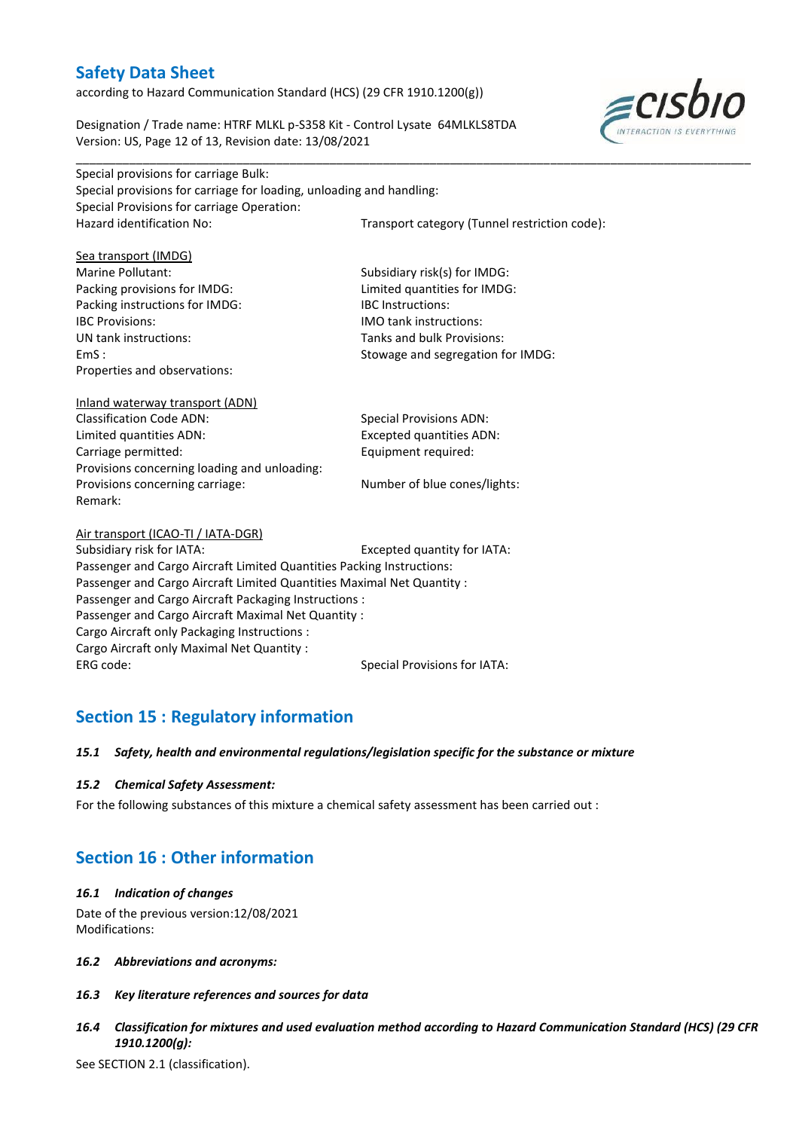according to Hazard Communication Standard (HCS) (29 CFR 1910.1200(g))

Designation / Trade name: HTRF MLKL p-S358 Kit - Control Lysate 64MLKLS8TDA Version: US, Page 12 of 13, Revision date: 13/08/2021



\_\_\_\_\_\_\_\_\_\_\_\_\_\_\_\_\_\_\_\_\_\_\_\_\_\_\_\_\_\_\_\_\_\_\_\_\_\_\_\_\_\_\_\_\_\_\_\_\_\_\_\_\_\_\_\_\_\_\_\_\_\_\_\_\_\_\_\_\_\_\_\_\_\_\_\_\_\_\_\_\_\_\_\_\_\_\_\_\_\_\_\_\_\_\_\_\_\_\_\_\_ Special provisions for carriage Bulk: Special provisions for carriage for loading, unloading and handling: Special Provisions for carriage Operation: Hazard identification No: Transport category (Tunnel restriction code):

| Sea transport (IMDG)                                                   |                                     |  |  |
|------------------------------------------------------------------------|-------------------------------------|--|--|
| Marine Pollutant:                                                      | Subsidiary risk(s) for IMDG:        |  |  |
| Packing provisions for IMDG:                                           | Limited quantities for IMDG:        |  |  |
| Packing instructions for IMDG:                                         | <b>IBC</b> Instructions:            |  |  |
| <b>IBC Provisions:</b>                                                 | <b>IMO</b> tank instructions:       |  |  |
| UN tank instructions:                                                  | Tanks and bulk Provisions:          |  |  |
| EmS:                                                                   | Stowage and segregation for IMDG:   |  |  |
| Properties and observations:                                           |                                     |  |  |
| Inland waterway transport (ADN)                                        |                                     |  |  |
| <b>Classification Code ADN:</b>                                        | <b>Special Provisions ADN:</b>      |  |  |
| Limited quantities ADN:                                                | <b>Excepted quantities ADN:</b>     |  |  |
| Carriage permitted:                                                    | Equipment required:                 |  |  |
| Provisions concerning loading and unloading:                           |                                     |  |  |
| Provisions concerning carriage:                                        | Number of blue cones/lights:        |  |  |
| Remark:                                                                |                                     |  |  |
| Air transport (ICAO-TI / IATA-DGR)                                     |                                     |  |  |
| Subsidiary risk for IATA:                                              | Excepted quantity for IATA:         |  |  |
| Passenger and Cargo Aircraft Limited Quantities Packing Instructions:  |                                     |  |  |
| Passenger and Cargo Aircraft Limited Quantities Maximal Net Quantity : |                                     |  |  |
| Passenger and Cargo Aircraft Packaging Instructions :                  |                                     |  |  |
| Passenger and Cargo Aircraft Maximal Net Quantity :                    |                                     |  |  |
| Cargo Aircraft only Packaging Instructions :                           |                                     |  |  |
| Cargo Aircraft only Maximal Net Quantity:                              |                                     |  |  |
| ERG code:                                                              | <b>Special Provisions for IATA:</b> |  |  |

## **Section 15 : Regulatory information**

#### *15.1 Safety, health and environmental regulations/legislation specific for the substance or mixture*

#### *15.2 Chemical Safety Assessment:*

For the following substances of this mixture a chemical safety assessment has been carried out :

## **Section 16 : Other information**

#### *16.1 Indication of changes*

Date of the previous version:12/08/2021 Modifications:

- *16.2 Abbreviations and acronyms:*
- *16.3 Key literature references and sources for data*
- *16.4 Classification for mixtures and used evaluation method according to Hazard Communication Standard (HCS) (29 CFR 1910.1200(g):*

See SECTION 2.1 (classification).